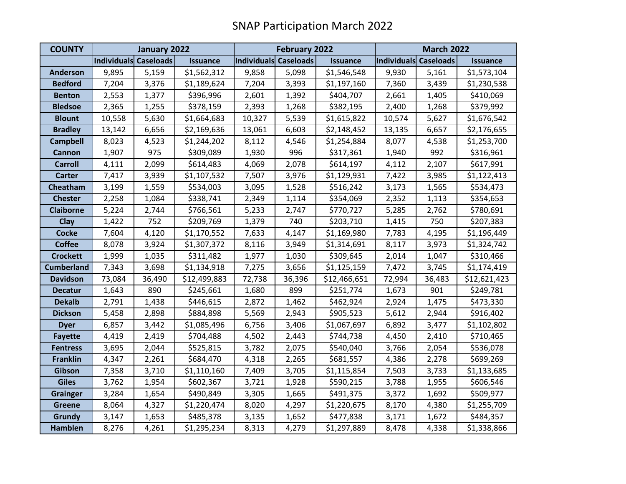| <b>COUNTY</b>     | January 2022          |        |                 | February 2022         |        |                 | <b>March 2022</b>     |        |                 |
|-------------------|-----------------------|--------|-----------------|-----------------------|--------|-----------------|-----------------------|--------|-----------------|
|                   | Individuals Caseloads |        | <b>Issuance</b> | Individuals Caseloads |        | <b>Issuance</b> | Individuals Caseloads |        | <b>Issuance</b> |
| <b>Anderson</b>   | 9,895                 | 5,159  | \$1,562,312     | 9,858                 | 5,098  | \$1,546,548     | 9,930                 | 5,161  | \$1,573,104     |
| <b>Bedford</b>    | 7,204                 | 3,376  | \$1,189,624     | 7,204                 | 3,393  | \$1,197,160     | 7,360                 | 3,439  | \$1,230,538     |
| <b>Benton</b>     | 2,553                 | 1,377  | \$396,996       | 2,601                 | 1,392  | \$404,707       | 2,661                 | 1,405  | \$410,069       |
| <b>Bledsoe</b>    | 2,365                 | 1,255  | \$378,159       | 2,393                 | 1,268  | \$382,195       | 2,400                 | 1,268  | \$379,992       |
| <b>Blount</b>     | 10,558                | 5,630  | \$1,664,683     | 10,327                | 5,539  | \$1,615,822     | 10,574                | 5,627  | \$1,676,542     |
| <b>Bradley</b>    | 13,142                | 6,656  | \$2,169,636     | 13,061                | 6,603  | \$2,148,452     | 13,135                | 6,657  | \$2,176,655     |
| <b>Campbell</b>   | 8,023                 | 4,523  | \$1,244,202     | 8,112                 | 4,546  | \$1,254,884     | 8,077                 | 4,538  | \$1,253,700     |
| Cannon            | 1,907                 | 975    | \$309,089       | 1,930                 | 996    | \$317,361       | 1,940                 | 992    | \$316,961       |
| <b>Carroll</b>    | 4,111                 | 2,099  | \$614,483       | 4,069                 | 2,078  | \$614,197       | 4,112                 | 2,107  | \$617,991       |
| <b>Carter</b>     | 7,417                 | 3,939  | \$1,107,532     | 7,507                 | 3,976  | \$1,129,931     | 7,422                 | 3,985  | \$1,122,413     |
| <b>Cheatham</b>   | 3,199                 | 1,559  | \$534,003       | 3,095                 | 1,528  | \$516,242       | 3,173                 | 1,565  | \$534,473       |
| <b>Chester</b>    | 2,258                 | 1,084  | \$338,741       | 2,349                 | 1,114  | \$354,069       | 2,352                 | 1,113  | \$354,653       |
| <b>Claiborne</b>  | 5,224                 | 2,744  | \$766,561       | 5,233                 | 2,747  | \$770,727       | 5,285                 | 2,762  | \$780,691       |
| Clay              | 1,422                 | 752    | \$209,769       | 1,379                 | 740    | \$203,710       | 1,415                 | 750    | \$207,383       |
| <b>Cocke</b>      | 7,604                 | 4,120  | \$1,170,552     | 7,633                 | 4,147  | \$1,169,980     | 7,783                 | 4,195  | \$1,196,449     |
| <b>Coffee</b>     | 8,078                 | 3,924  | \$1,307,372     | 8,116                 | 3,949  | \$1,314,691     | 8,117                 | 3,973  | \$1,324,742     |
| <b>Crockett</b>   | 1,999                 | 1,035  | \$311,482       | 1,977                 | 1,030  | \$309,645       | 2,014                 | 1,047  | \$310,466       |
| <b>Cumberland</b> | 7,343                 | 3,698  | \$1,134,918     | 7,275                 | 3,656  | \$1,125,159     | 7,472                 | 3,745  | \$1,174,419     |
| <b>Davidson</b>   | 73,084                | 36,490 | \$12,499,883    | 72,738                | 36,396 | \$12,466,651    | 72,994                | 36,483 | \$12,621,423    |
| <b>Decatur</b>    | 1,643                 | 890    | \$245,661       | 1,680                 | 899    | \$251,774       | 1,673                 | 901    | \$249,781       |
| <b>Dekalb</b>     | 2,791                 | 1,438  | \$446,615       | 2,872                 | 1,462  | \$462,924       | 2,924                 | 1,475  | \$473,330       |
| <b>Dickson</b>    | 5,458                 | 2,898  | \$884,898       | 5,569                 | 2,943  | \$905,523       | 5,612                 | 2,944  | \$916,402       |
| <b>Dyer</b>       | 6,857                 | 3,442  | \$1,085,496     | 6,756                 | 3,406  | \$1,067,697     | 6,892                 | 3,477  | \$1,102,802     |
| <b>Fayette</b>    | 4,419                 | 2,419  | \$704,488       | 4,502                 | 2,443  | \$744,738       | 4,450                 | 2,410  | \$710,465       |
| <b>Fentress</b>   | 3,695                 | 2,044  | \$525,815       | 3,782                 | 2,075  | \$540,040       | 3,766                 | 2,054  | \$536,078       |
| <b>Franklin</b>   | 4,347                 | 2,261  | \$684,470       | 4,318                 | 2,265  | \$681,557       | 4,386                 | 2,278  | \$699,269       |
| Gibson            | 7,358                 | 3,710  | \$1,110,160     | 7,409                 | 3,705  | \$1,115,854     | 7,503                 | 3,733  | \$1,133,685     |
| <b>Giles</b>      | 3,762                 | 1,954  | \$602,367       | 3,721                 | 1,928  | \$590,215       | 3,788                 | 1,955  | \$606,546       |
| <b>Grainger</b>   | 3,284                 | 1,654  | \$490,849       | 3,305                 | 1,665  | \$491,375       | 3,372                 | 1,692  | \$509,977       |
| <b>Greene</b>     | 8,064                 | 4,327  | \$1,220,474     | 8,020                 | 4,297  | \$1,220,675     | 8,170                 | 4,380  | \$1,255,709     |
| Grundy            | 3,147                 | 1,653  | \$485,378       | 3,135                 | 1,652  | \$477,838       | 3,171                 | 1,672  | \$484,357       |
| <b>Hamblen</b>    | 8,276                 | 4,261  | \$1,295,234     | 8,313                 | 4,279  | \$1,297,889     | 8,478                 | 4,338  | \$1,338,866     |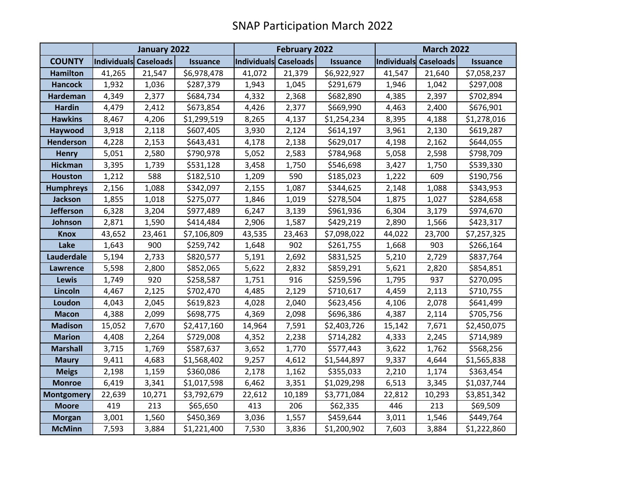|                   | January 2022          |        |                 | February 2022         |        |                 | <b>March 2022</b>     |        |                 |
|-------------------|-----------------------|--------|-----------------|-----------------------|--------|-----------------|-----------------------|--------|-----------------|
| <b>COUNTY</b>     | Individuals Caseloads |        | <b>Issuance</b> | Individuals Caseloads |        | <b>Issuance</b> | Individuals Caseloads |        | <b>Issuance</b> |
| <b>Hamilton</b>   | 41,265                | 21,547 | \$6,978,478     | 41,072                | 21,379 | \$6,922,927     | 41,547                | 21,640 | \$7,058,237     |
| <b>Hancock</b>    | 1,932                 | 1,036  | \$287,379       | 1,943                 | 1,045  | \$291,679       | 1,946                 | 1,042  | \$297,008       |
| <b>Hardeman</b>   | 4,349                 | 2,377  | \$684,734       | 4,332                 | 2,368  | \$682,890       | 4,385                 | 2,397  | \$702,894       |
| <b>Hardin</b>     | 4,479                 | 2,412  | \$673,854       | 4,426                 | 2,377  | \$669,990       | 4,463                 | 2,400  | \$676,901       |
| <b>Hawkins</b>    | 8,467                 | 4,206  | \$1,299,519     | 8,265                 | 4,137  | \$1,254,234     | 8,395                 | 4,188  | \$1,278,016     |
| Haywood           | 3,918                 | 2,118  | \$607,405       | 3,930                 | 2,124  | \$614,197       | 3,961                 | 2,130  | \$619,287       |
| <b>Henderson</b>  | 4,228                 | 2,153  | \$643,431       | 4,178                 | 2,138  | \$629,017       | 4,198                 | 2,162  | \$644,055       |
| <b>Henry</b>      | 5,051                 | 2,580  | \$790,978       | 5,052                 | 2,583  | \$784,968       | 5,058                 | 2,598  | \$798,709       |
| <b>Hickman</b>    | 3,395                 | 1,739  | \$531,128       | 3,458                 | 1,750  | \$546,698       | 3,427                 | 1,750  | \$539,330       |
| <b>Houston</b>    | 1,212                 | 588    | \$182,510       | 1,209                 | 590    | \$185,023       | 1,222                 | 609    | \$190,756       |
| <b>Humphreys</b>  | 2,156                 | 1,088  | \$342,097       | 2,155                 | 1,087  | \$344,625       | 2,148                 | 1,088  | \$343,953       |
| Jackson           | 1,855                 | 1,018  | \$275,077       | 1,846                 | 1,019  | \$278,504       | 1,875                 | 1,027  | \$284,658       |
| <b>Jefferson</b>  | 6,328                 | 3,204  | \$977,489       | 6,247                 | 3,139  | \$961,936       | 6,304                 | 3,179  | \$974,670       |
| Johnson           | 2,871                 | 1,590  | \$414,484       | 2,906                 | 1,587  | \$429,219       | 2,890                 | 1,566  | \$423,317       |
| <b>Knox</b>       | 43,652                | 23,461 | \$7,106,809     | 43,535                | 23,463 | \$7,098,022     | 44,022                | 23,700 | \$7,257,325     |
| Lake              | 1,643                 | 900    | \$259,742       | 1,648                 | 902    | \$261,755       | 1,668                 | 903    | \$266,164       |
| Lauderdale        | 5,194                 | 2,733  | \$820,577       | 5,191                 | 2,692  | \$831,525       | 5,210                 | 2,729  | \$837,764       |
| <b>Lawrence</b>   | 5,598                 | 2,800  | \$852,065       | 5,622                 | 2,832  | \$859,291       | 5,621                 | 2,820  | \$854,851       |
| Lewis             | 1,749                 | 920    | \$258,587       | 1,751                 | 916    | \$259,596       | 1,795                 | 937    | \$270,095       |
| Lincoln           | 4,467                 | 2,125  | \$702,470       | 4,485                 | 2,129  | \$710,617       | 4,459                 | 2,113  | \$710,755       |
| Loudon            | 4,043                 | 2,045  | \$619,823       | 4,028                 | 2,040  | \$623,456       | 4,106                 | 2,078  | \$641,499       |
| <b>Macon</b>      | 4,388                 | 2,099  | \$698,775       | 4,369                 | 2,098  | \$696,386       | 4,387                 | 2,114  | \$705,756       |
| <b>Madison</b>    | 15,052                | 7,670  | \$2,417,160     | 14,964                | 7,591  | \$2,403,726     | 15,142                | 7,671  | \$2,450,075     |
| <b>Marion</b>     | 4,408                 | 2,264  | \$729,008       | 4,352                 | 2,238  | \$714,282       | 4,333                 | 2,245  | \$714,989       |
| <b>Marshall</b>   | 3,715                 | 1,769  | \$587,637       | 3,652                 | 1,770  | \$577,443       | 3,622                 | 1,762  | \$568,256       |
| <b>Maury</b>      | 9,411                 | 4,683  | \$1,568,402     | 9,257                 | 4,612  | \$1,544,897     | 9,337                 | 4,644  | \$1,565,838     |
| <b>Meigs</b>      | 2,198                 | 1,159  | \$360,086       | 2,178                 | 1,162  | \$355,033       | 2,210                 | 1,174  | \$363,454       |
| <b>Monroe</b>     | 6,419                 | 3,341  | \$1,017,598     | 6,462                 | 3,351  | \$1,029,298     | 6,513                 | 3,345  | \$1,037,744     |
| <b>Montgomery</b> | 22,639                | 10,271 | \$3,792,679     | 22,612                | 10,189 | \$3,771,084     | 22,812                | 10,293 | \$3,851,342     |
| <b>Moore</b>      | 419                   | 213    | \$65,650        | 413                   | 206    | \$62,335        | 446                   | 213    | \$69,509        |
| <b>Morgan</b>     | 3,001                 | 1,560  | \$450,369       | 3,036                 | 1,557  | \$459,644       | 3,011                 | 1,546  | \$449,764       |
| <b>McMinn</b>     | 7,593                 | 3,884  | \$1,221,400     | 7,530                 | 3,836  | \$1,200,902     | 7,603                 | 3,884  | \$1,222,860     |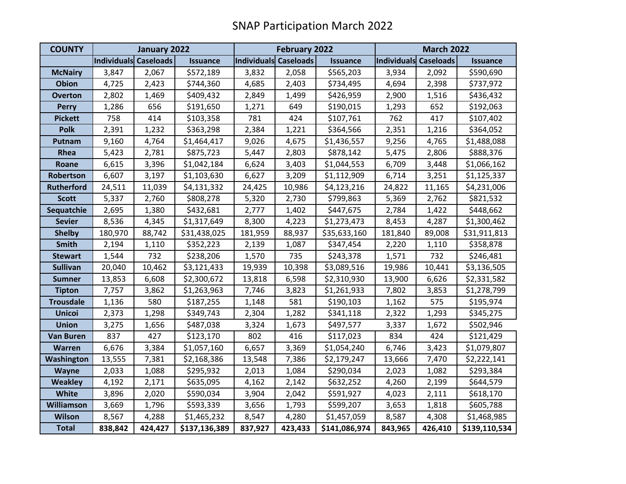| <b>COUNTY</b>     | January 2022          |         |                 |                       | February 2022 |                 |                       | <b>March 2022</b> |                 |  |
|-------------------|-----------------------|---------|-----------------|-----------------------|---------------|-----------------|-----------------------|-------------------|-----------------|--|
|                   | Individuals Caseloads |         | <b>Issuance</b> | Individuals Caseloads |               | <b>Issuance</b> | Individuals Caseloads |                   | <b>Issuance</b> |  |
| <b>McNairy</b>    | 3,847                 | 2,067   | \$572,189       | 3,832                 | 2,058         | \$565,203       | 3,934                 | 2,092             | \$590,690       |  |
| <b>Obion</b>      | 4,725                 | 2,423   | \$744,360       | 4,685                 | 2,403         | \$734,495       | 4,694                 | 2,398             | \$737,972       |  |
| <b>Overton</b>    | 2,802                 | 1,469   | \$409,432       | 2,849                 | 1,499         | \$426,959       | 2,900                 | 1,516             | \$436,432       |  |
| <b>Perry</b>      | 1,286                 | 656     | \$191,650       | 1,271                 | 649           | \$190,015       | 1,293                 | 652               | \$192,063       |  |
| <b>Pickett</b>    | 758                   | 414     | \$103,358       | 781                   | 424           | \$107,761       | 762                   | 417               | \$107,402       |  |
| Polk              | 2,391                 | 1,232   | \$363,298       | 2,384                 | 1,221         | \$364,566       | 2,351                 | 1,216             | \$364,052       |  |
| Putnam            | 9,160                 | 4,764   | \$1,464,417     | 9,026                 | 4,675         | \$1,436,557     | 9,256                 | 4,765             | \$1,488,088     |  |
| Rhea              | 5,423                 | 2,781   | \$875,723       | 5,447                 | 2,803         | \$878,142       | 5,475                 | 2,806             | \$888,376       |  |
| Roane             | 6,615                 | 3,396   | \$1,042,184     | 6,624                 | 3,403         | \$1,044,553     | 6,709                 | 3,448             | \$1,066,162     |  |
| Robertson         | 6,607                 | 3,197   | \$1,103,630     | 6,627                 | 3,209         | \$1,112,909     | 6,714                 | 3,251             | \$1,125,337     |  |
| <b>Rutherford</b> | 24,511                | 11,039  | \$4,131,332     | 24,425                | 10,986        | \$4,123,216     | 24,822                | 11,165            | \$4,231,006     |  |
| <b>Scott</b>      | 5,337                 | 2,760   | \$808,278       | 5,320                 | 2,730         | \$799,863       | 5,369                 | 2,762             | \$821,532       |  |
| Sequatchie        | 2,695                 | 1,380   | \$432,681       | 2,777                 | 1,402         | \$447,675       | 2,784                 | 1,422             | \$448,662       |  |
| <b>Sevier</b>     | 8,536                 | 4,345   | \$1,317,649     | 8,300                 | 4,223         | \$1,273,473     | 8,453                 | 4,287             | \$1,300,462     |  |
| <b>Shelby</b>     | 180,970               | 88,742  | \$31,438,025    | 181,959               | 88,937        | \$35,633,160    | 181,840               | 89,008            | \$31,911,813    |  |
| <b>Smith</b>      | 2,194                 | 1,110   | \$352,223       | 2,139                 | 1,087         | \$347,454       | 2,220                 | 1,110             | \$358,878       |  |
| <b>Stewart</b>    | 1,544                 | 732     | \$238,206       | 1,570                 | 735           | \$243,378       | 1,571                 | 732               | \$246,481       |  |
| <b>Sullivan</b>   | 20,040                | 10,462  | \$3,121,433     | 19,939                | 10,398        | \$3,089,516     | 19,986                | 10,441            | \$3,136,505     |  |
| <b>Sumner</b>     | 13,853                | 6,608   | \$2,300,672     | 13,818                | 6,598         | \$2,310,930     | 13,900                | 6,626             | \$2,331,582     |  |
| <b>Tipton</b>     | 7,757                 | 3,862   | \$1,263,963     | 7,746                 | 3,823         | \$1,261,933     | 7,802                 | 3,853             | \$1,278,799     |  |
| <b>Trousdale</b>  | 1,136                 | 580     | \$187,255       | 1,148                 | 581           | \$190,103       | 1,162                 | 575               | \$195,974       |  |
| <b>Unicoi</b>     | 2,373                 | 1,298   | \$349,743       | 2,304                 | 1,282         | \$341,118       | 2,322                 | 1,293             | \$345,275       |  |
| <b>Union</b>      | 3,275                 | 1,656   | \$487,038       | 3,324                 | 1,673         | \$497,577       | 3,337                 | 1,672             | \$502,946       |  |
| <b>Van Buren</b>  | 837                   | 427     | \$123,170       | 802                   | 416           | \$117,023       | 834                   | 424               | \$121,429       |  |
| <b>Warren</b>     | 6,676                 | 3,384   | \$1,057,160     | 6,657                 | 3,369         | \$1,054,240     | 6,746                 | 3,423             | \$1,079,807     |  |
| <b>Washington</b> | 13,555                | 7,381   | \$2,168,386     | 13,548                | 7,386         | \$2,179,247     | 13,666                | 7,470             | \$2,222,141     |  |
| Wayne             | 2,033                 | 1,088   | \$295,932       | 2,013                 | 1,084         | \$290,034       | 2,023                 | 1,082             | \$293,384       |  |
| <b>Weakley</b>    | 4,192                 | 2,171   | \$635,095       | 4,162                 | 2,142         | \$632,252       | 4,260                 | 2,199             | \$644,579       |  |
| White             | 3,896                 | 2,020   | \$590,034       | 3,904                 | 2,042         | \$591,927       | 4,023                 | 2,111             | \$618,170       |  |
| <b>Williamson</b> | 3,669                 | 1,796   | \$593,339       | 3,656                 | 1,793         | \$599,207       | 3,653                 | 1,818             | \$605,788       |  |
| Wilson            | 8,567                 | 4,288   | \$1,465,232     | 8,547                 | 4,280         | \$1,457,059     | 8,587                 | 4,308             | \$1,468,985     |  |
| <b>Total</b>      | 838,842               | 424,427 | \$137,136,389   | 837,927               | 423,433       | \$141,086,974   | 843,965               | 426,410           | \$139,110,534   |  |